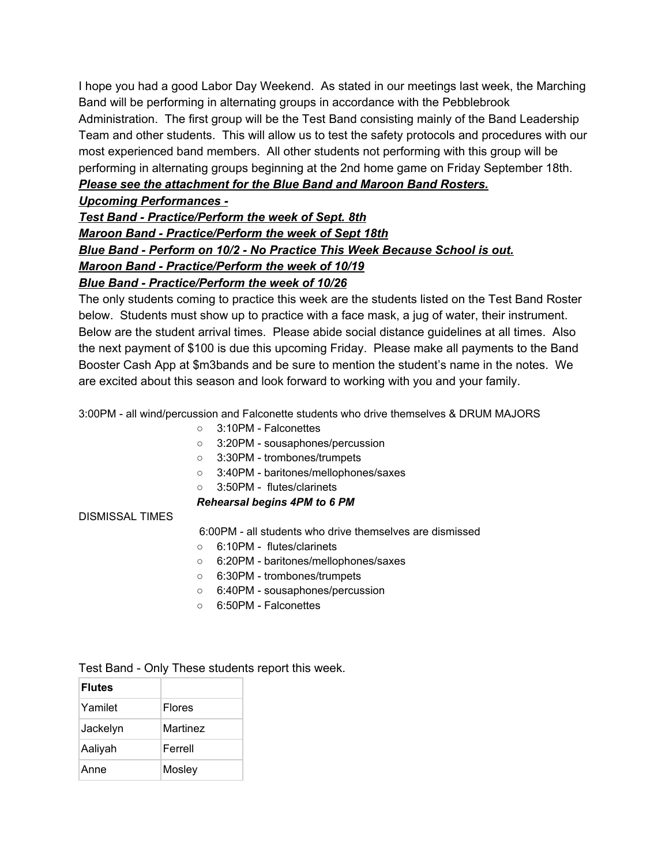I hope you had a good Labor Day Weekend. As stated in our meetings last week, the Marching Band will be performing in alternating groups in accordance with the Pebblebrook Administration. The first group will be the Test Band consisting mainly of the Band Leadership Team and other students. This will allow us to test the safety protocols and procedures with our most experienced band members. All other students not performing with this group will be performing in alternating groups beginning at the 2nd home game on Friday September 18th. *Please see the attachment for the Blue Band and Maroon Band Rosters.*

## *Upcoming Performances -*

*Test Band - Practice/Perform the week of Sept. 8th Maroon Band - Practice/Perform the week of Sept 18th Blue Band - Perform on 10/2 - No Practice This Week Because School is out. Maroon Band - Practice/Perform the week of 10/19 Blue Band - Practice/Perform the week of 10/26*

The only students coming to practice this week are the students listed on the Test Band Roster below. Students must show up to practice with a face mask, a jug of water, their instrument. Below are the student arrival times. Please abide social distance guidelines at all times. Also the next payment of \$100 is due this upcoming Friday. Please make all payments to the Band Booster Cash App at \$m3bands and be sure to mention the student's name in the notes. We are excited about this season and look forward to working with you and your family.

3:00PM - all wind/percussion and Falconette students who drive themselves & DRUM MAJORS

- 3:10PM Falconettes
- 3:20PM sousaphones/percussion
- 3:30PM trombones/trumpets
- 3:40PM baritones/mellophones/saxes
- 3:50PM flutes/clarinets

## *Rehearsal begins 4PM to 6 PM*

DISMISSAL TIMES

6:00PM - all students who drive themselves are dismissed

- 6:10PM flutes/clarinets
- 6:20PM baritones/mellophones/saxes
- 6:30PM trombones/trumpets
- 6:40PM sousaphones/percussion
- 6:50PM Falconettes

Test Band - Only These students report this week.

| <b>Flutes</b> |               |
|---------------|---------------|
| Yamilet       | <b>Flores</b> |
| Jackelyn      | Martinez      |
| Aaliyah       | Ferrell       |
| Anne          | Mosley        |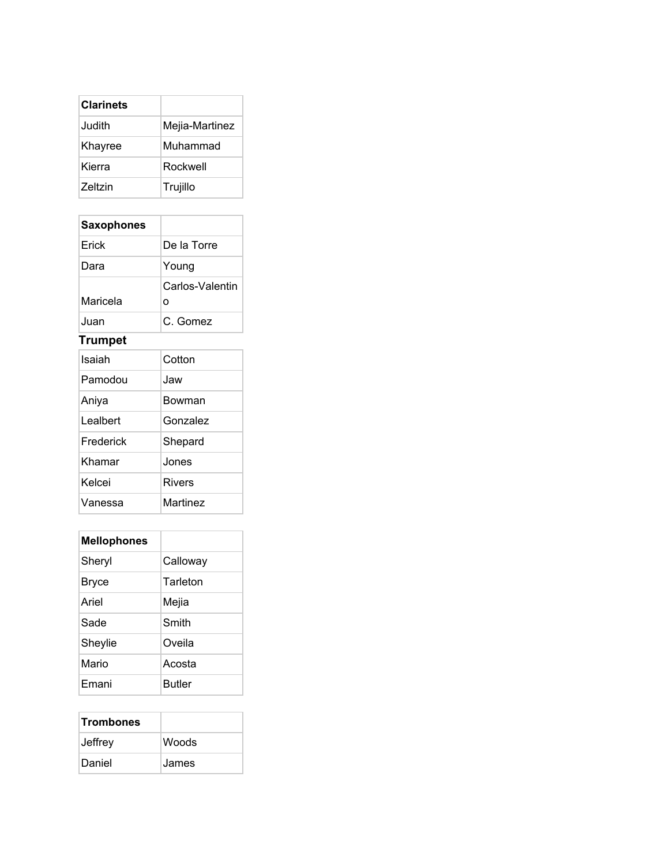| <b>Clarinets</b> |                |
|------------------|----------------|
| Judith           | Mejia-Martinez |
| Khayree          | Muhammad       |
| Kierra           | Rockwell       |
| <b>Zeltzin</b>   | Trujillo       |

## **Saxophones**

| Erick    | De la Torre     |
|----------|-----------------|
| Dara     | Young           |
|          | Carlos-Valentin |
| Maricela | O               |
| Juan     | C. Gomez        |

## **Trumpet**

| Isaiah    | Cotton   |
|-----------|----------|
| Pamodou   | Jaw      |
| Aniya     | Bowman   |
| Lealbert  | Gonzalez |
| Frederick | Shepard  |
| Khamar    | Jones    |
| Kelcei    | Rivers   |
| Vanessa   | Martinez |

| <b>Mellophones</b> |               |
|--------------------|---------------|
| Sheryl             | Calloway      |
| Bryce              | Tarleton      |
| Ariel              | Mejia         |
| Sade               | Smith         |
| Sheylie            | Oveila        |
| Mario              | Acosta        |
| Fmani              | <b>Butler</b> |

| <b>Trombones</b> |              |
|------------------|--------------|
| Jeffrey          | <b>Woods</b> |
| Daniel           | James        |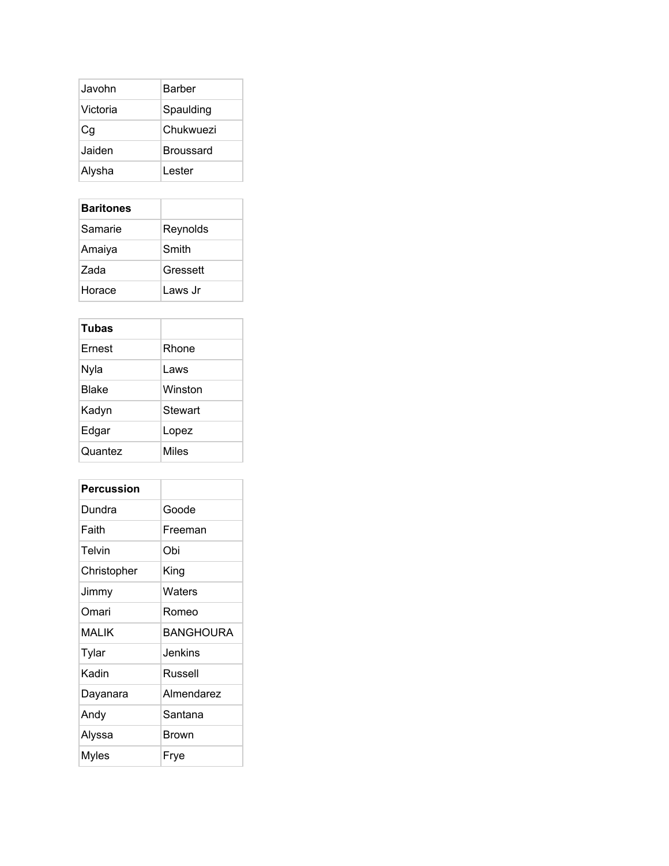| Javohn   | Barber           |
|----------|------------------|
| Victoria | Spaulding        |
| Сg       | Chukwuezi        |
| Jaiden   | <b>Broussard</b> |
| Alysha   | Lester           |

| <b>Baritones</b> |          |
|------------------|----------|
| Samarie          | Reynolds |
| Amaiya           | Smith    |
| Zada             | Gressett |
| Horace           | Laws Jr  |

| <b>Tubas</b> |              |
|--------------|--------------|
| Ernest       | Rhone        |
| Nyla         | Laws         |
| Blake        | Winston      |
| Kadyn        | Stewart      |
| Edgar        | Lopez        |
| Quantez      | <b>Miles</b> |

| Percussion   |                  |
|--------------|------------------|
| Dundra       | Goode            |
| Faith        | Freeman          |
| Telvin       | Obi              |
| Christopher  | King             |
| Jimmy        | Waters           |
| Omari        | Romeo            |
| <b>MALIK</b> | <b>BANGHOURA</b> |
| Tylar        | Jenkins          |
| Kadin        | Russell          |
| Dayanara     | Almendarez       |
| Andy         | Santana          |
| Alyssa       | Brown            |
| Myles        | Frye             |